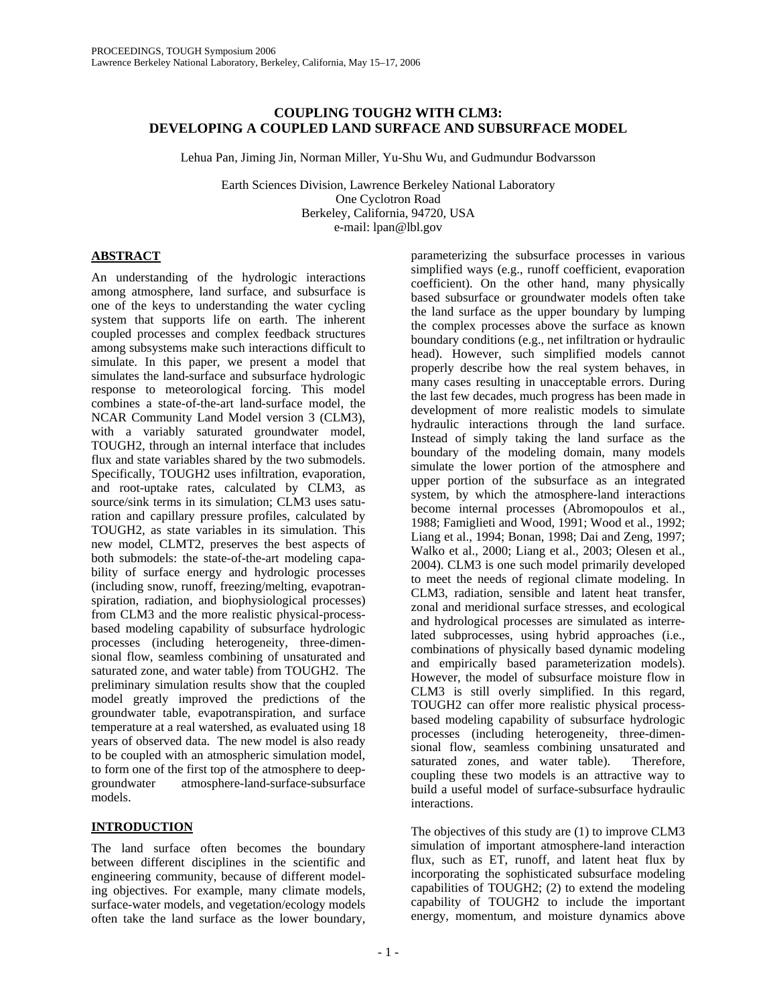# **COUPLING TOUGH2 WITH CLM3: DEVELOPING A COUPLED LAND SURFACE AND SUBSURFACE MODEL**

Lehua Pan, Jiming Jin, Norman Miller, Yu-Shu Wu, and Gudmundur Bodvarsson

Earth Sciences Division, Lawrence Berkeley National Laboratory One Cyclotron Road Berkeley, California, 94720, USA e-mail: lpan@lbl.gov

# **ABSTRACT**

An understanding of the hydrologic interactions among atmosphere, land surface, and subsurface is one of the keys to understanding the water cycling system that supports life on earth. The inherent coupled processes and complex feedback structures among subsystems make such interactions difficult to simulate. In this paper, we present a model that simulates the land-surface and subsurface hydrologic response to meteorological forcing. This model combines a state-of-the-art land-surface model, the NCAR Community Land Model version 3 (CLM3), with a variably saturated groundwater model, TOUGH2, through an internal interface that includes flux and state variables shared by the two submodels. Specifically, TOUGH2 uses infiltration, evaporation, and root-uptake rates, calculated by CLM3, as source/sink terms in its simulation; CLM3 uses saturation and capillary pressure profiles, calculated by TOUGH2, as state variables in its simulation. This new model, CLMT2, preserves the best aspects of both submodels: the state-of-the-art modeling capability of surface energy and hydrologic processes (including snow, runoff, freezing/melting, evapotranspiration, radiation, and biophysiological processes) from CLM3 and the more realistic physical-processbased modeling capability of subsurface hydrologic processes (including heterogeneity, three-dimensional flow, seamless combining of unsaturated and saturated zone, and water table) from TOUGH2. The preliminary simulation results show that the coupled model greatly improved the predictions of the groundwater table, evapotranspiration, and surface temperature at a real watershed, as evaluated using 18 years of observed data. The new model is also ready to be coupled with an atmospheric simulation model, to form one of the first top of the atmosphere to deepgroundwater atmosphere-land-surface-subsurface models.

# **INTRODUCTION**

The land surface often becomes the boundary between different disciplines in the scientific and engineering community, because of different modeling objectives. For example, many climate models, surface-water models, and vegetation/ecology models often take the land surface as the lower boundary,

parameterizing the subsurface processes in various simplified ways (e.g., runoff coefficient, evaporation coefficient). On the other hand, many physically based subsurface or groundwater models often take the land surface as the upper boundary by lumping the complex processes above the surface as known boundary conditions (e.g., net infiltration or hydraulic head). However, such simplified models cannot properly describe how the real system behaves, in many cases resulting in unacceptable errors. During the last few decades, much progress has been made in development of more realistic models to simulate hydraulic interactions through the land surface. Instead of simply taking the land surface as the boundary of the modeling domain, many models simulate the lower portion of the atmosphere and upper portion of the subsurface as an integrated system, by which the atmosphere-land interactions become internal processes (Abromopoulos et al., 1988; Famiglieti and Wood, 1991; Wood et al., 1992; Liang et al., 1994; Bonan, 1998; Dai and Zeng, 1997; Walko et al., 2000; Liang et al., 2003; Olesen et al., 2004). CLM3 is one such model primarily developed to meet the needs of regional climate modeling. In CLM3, radiation, sensible and latent heat transfer, zonal and meridional surface stresses, and ecological and hydrological processes are simulated as interrelated subprocesses, using hybrid approaches (i.e., combinations of physically based dynamic modeling and empirically based parameterization models). However, the model of subsurface moisture flow in CLM3 is still overly simplified. In this regard, TOUGH2 can offer more realistic physical processbased modeling capability of subsurface hydrologic processes (including heterogeneity, three-dimensional flow, seamless combining unsaturated and saturated zones, and water table). Therefore, coupling these two models is an attractive way to build a useful model of surface-subsurface hydraulic interactions.

The objectives of this study are (1) to improve CLM3 simulation of important atmosphere-land interaction flux, such as ET, runoff, and latent heat flux by incorporating the sophisticated subsurface modeling capabilities of TOUGH2; (2) to extend the modeling capability of TOUGH2 to include the important energy, momentum, and moisture dynamics above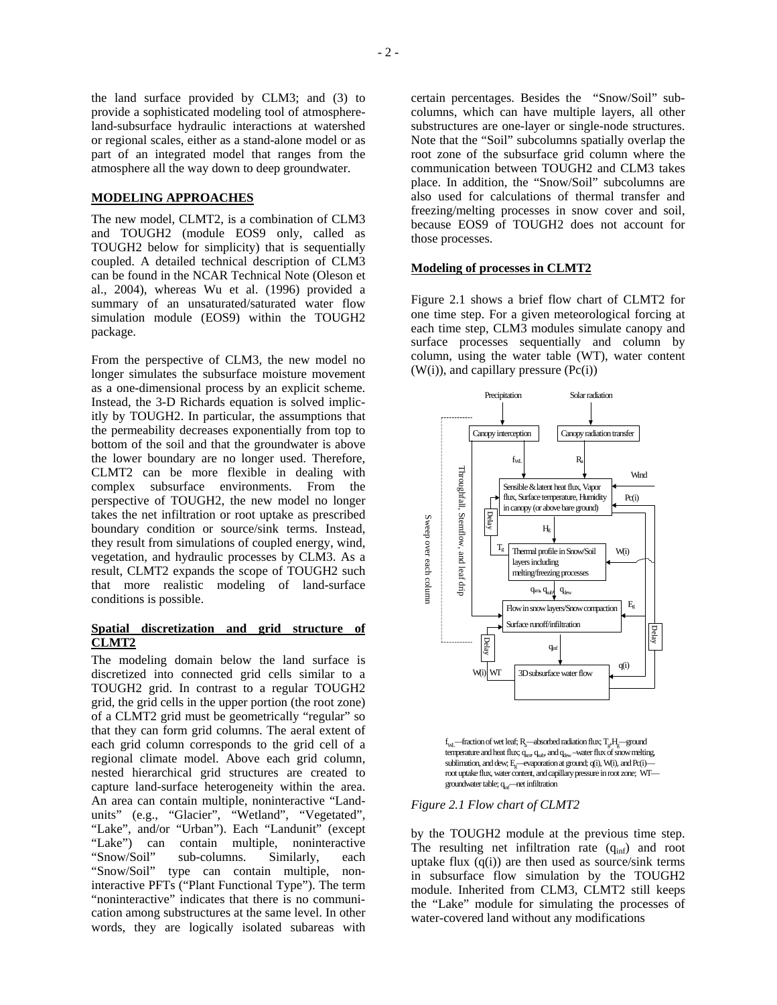#### **MODELING APPROACHES**

The new model, CLMT2, is a combination of CLM3 and TOUGH2 (module EOS9 only, called as TOUGH2 below for simplicity) that is sequentially coupled. A detailed technical description of CLM3 can be found in the NCAR Technical Note (Oleson et al., 2004), whereas Wu et al. (1996) provided a summary of an unsaturated/saturated water flow simulation module (EOS9) within the TOUGH2 package.

From the perspective of CLM3, the new model no longer simulates the subsurface moisture movement as a one-dimensional process by an explicit scheme. Instead, the 3-D Richards equation is solved implicitly by TOUGH2. In particular, the assumptions that the permeability decreases exponentially from top to bottom of the soil and that the groundwater is above the lower boundary are no longer used. Therefore, CLMT2 can be more flexible in dealing with complex subsurface environments. From the perspective of TOUGH2, the new model no longer takes the net infiltration or root uptake as prescribed boundary condition or source/sink terms. Instead, they result from simulations of coupled energy, wind, vegetation, and hydraulic processes by CLM3. As a result, CLMT2 expands the scope of TOUGH2 such that more realistic modeling of land-surface conditions is possible.

### **Spatial discretization and grid structure of CLMT2**

The modeling domain below the land surface is discretized into connected grid cells similar to a TOUGH2 grid. In contrast to a regular TOUGH2 grid, the grid cells in the upper portion (the root zone) of a CLMT2 grid must be geometrically "regular" so that they can form grid columns. The aeral extent of each grid column corresponds to the grid cell of a regional climate model. Above each grid column, nested hierarchical grid structures are created to capture land-surface heterogeneity within the area. An area can contain multiple, noninteractive "Landunits" (e.g., "Glacier", "Wetland", "Vegetated", "Lake", and/or "Urban"). Each "Landunit" (except "Lake") can contain multiple, noninteractive "Snow/Soil" sub-columns. Similarly, each "Snow/Soil" type can contain multiple, noninteractive PFTs ("Plant Functional Type"). The term "noninteractive" indicates that there is no communication among substructures at the same level. In other words, they are logically isolated subareas with

certain percentages. Besides the "Snow/Soil" subcolumns, which can have multiple layers, all other substructures are one-layer or single-node structures. Note that the "Soil" subcolumns spatially overlap the root zone of the subsurface grid column where the communication between TOUGH2 and CLM3 takes place. In addition, the "Snow/Soil" subcolumns are also used for calculations of thermal transfer and freezing/melting processes in snow cover and soil, because EOS9 of TOUGH2 does not account for those processes.

#### **Modeling of processes in CLMT2**

Figure 2.1 shows a brief flow chart of CLMT2 for one time step. For a given meteorological forcing at each time step, CLM3 modules simulate canopy and surface processes sequentially and column by column, using the water table (WT), water content  $(W(i))$ , and capillary pressure  $(Pc(i))$ 



 $f_{\rm WL}$ —fraction of wet leaf;  $R_{\rm a}$ —absorbed radiation flux;  $T_{\rm g}H_{\rm g}$ —ground temperature and heat flux;  $q_{snr}$ ,  $q_{sub}$ , and  $q_{dev}$  –water flux of snow melting, sublimation, and dew;  $E_g$ —evaporation at ground;  $q(i)$ , W(i), and Pc(i) root uptake flux, water content, and capillary pressure in root zone; WTgroundwater table; q<sub>mf</sub>—net infiltration

#### *Figure 2.1 Flow chart of CLMT2*

by the TOUGH2 module at the previous time step. The resulting net infiltration rate  $(q_{\text{inf}})$  and root uptake flux  $(q(i))$  are then used as source/sink terms in subsurface flow simulation by the TOUGH2 module. Inherited from CLM3, CLMT2 still keeps the "Lake" module for simulating the processes of water-covered land without any modifications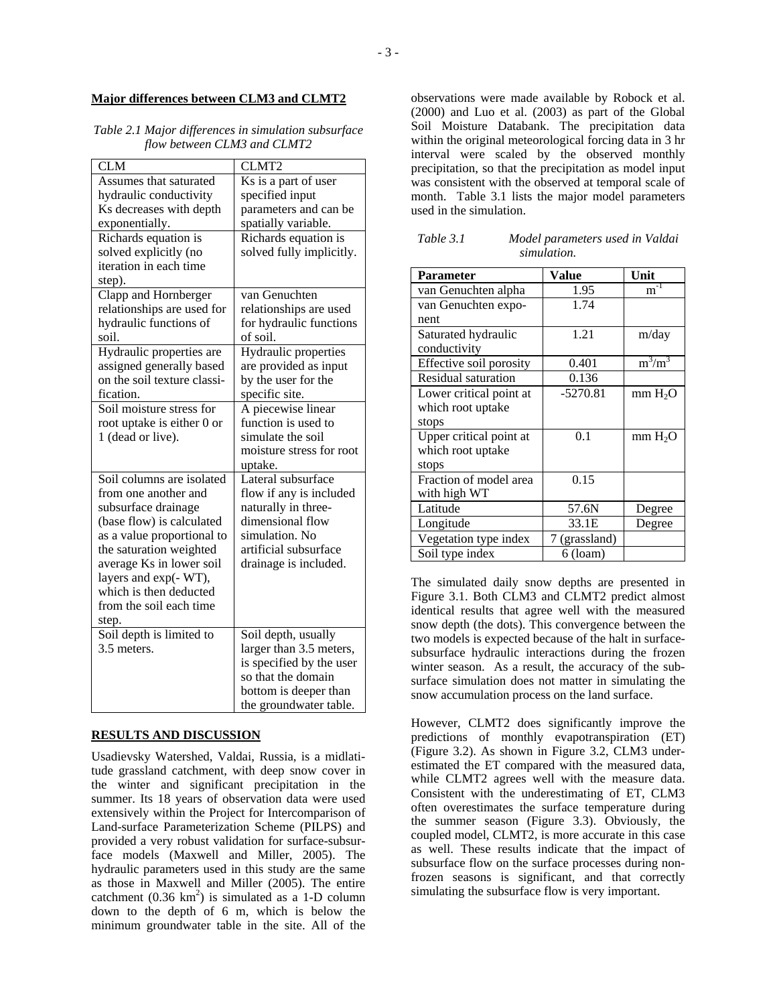## **Major differences between CLM3 and CLMT2**

## *Table 2.1 Major differences in simulation subsurface flow between CLM3 and CLMT2*

| <b>CLM</b>                  | CLMT <sub>2</sub>        |  |
|-----------------------------|--------------------------|--|
| Assumes that saturated      | Ks is a part of user     |  |
| hydraulic conductivity      | specified input          |  |
| Ks decreases with depth     | parameters and can be    |  |
| exponentially.              | spatially variable.      |  |
| Richards equation is        | Richards equation is     |  |
| solved explicitly (no       | solved fully implicitly. |  |
| iteration in each time      |                          |  |
| step).                      |                          |  |
| Clapp and Hornberger        | van Genuchten            |  |
| relationships are used for  | relationships are used   |  |
| hydraulic functions of      | for hydraulic functions  |  |
| soil.                       | of soil.                 |  |
| Hydraulic properties are    | Hydraulic properties     |  |
| assigned generally based    | are provided as input    |  |
| on the soil texture classi- | by the user for the      |  |
| fication.                   | specific site.           |  |
| Soil moisture stress for    | A piecewise linear       |  |
| root uptake is either 0 or  | function is used to      |  |
| 1 (dead or live).           | simulate the soil        |  |
|                             | moisture stress for root |  |
|                             | uptake.                  |  |
| Soil columns are isolated   | Lateral subsurface       |  |
| from one another and        | flow if any is included  |  |
| subsurface drainage         | naturally in three-      |  |
| (base flow) is calculated   | dimensional flow         |  |
| as a value proportional to  | simulation. No           |  |
| the saturation weighted     | artificial subsurface    |  |
| average Ks in lower soil    | drainage is included.    |  |
| layers and exp(- WT),       |                          |  |
| which is then deducted      |                          |  |
| from the soil each time     |                          |  |
| step.                       |                          |  |
| Soil depth is limited to    | Soil depth, usually      |  |
| 3.5 meters.                 | larger than 3.5 meters,  |  |
|                             | is specified by the user |  |
|                             | so that the domain       |  |
|                             | bottom is deeper than    |  |
|                             | the groundwater table.   |  |

### **RESULTS AND DISCUSSION**

Usadievsky Watershed, Valdai, Russia, is a midlatitude grassland catchment, with deep snow cover in the winter and significant precipitation in the summer. Its 18 years of observation data were used extensively within the Project for Intercomparison of Land-surface Parameterization Scheme (PILPS) and provided a very robust validation for surface-subsurface models (Maxwell and Miller, 2005). The hydraulic parameters used in this study are the same as those in Maxwell and Miller (2005). The entire catchment  $(0.36 \text{ km}^2)$  is simulated as a 1-D column down to the depth of 6 m, which is below the minimum groundwater table in the site. All of the

observations were made available by Robock et al. (2000) and Luo et al. (2003) as part of the Global Soil Moisture Databank. The precipitation data within the original meteorological forcing data in 3 hr interval were scaled by the observed monthly precipitation, so that the precipitation as model input was consistent with the observed at temporal scale of month. Table 3.1 lists the major model parameters used in the simulation.

| Table 3.1 | Model parameters used in Valdai |
|-----------|---------------------------------|
|           | simulation.                     |

| <b>Parameter</b>        | Value         | Unit                |
|-------------------------|---------------|---------------------|
| van Genuchten alpha     | 1.95          | $m^{-1}$            |
| van Genuchten expo-     | 1.74          |                     |
| nent                    |               |                     |
| Saturated hydraulic     | 1.21          | m/day               |
| conductivity            |               |                     |
| Effective soil porosity | 0.401         | $m^3/m^3$           |
| Residual saturation     | 0.136         |                     |
| Lower critical point at | $-5270.81$    | mm H <sub>2</sub> O |
| which root uptake       |               |                     |
| stops                   |               |                     |
| Upper critical point at | 0.1           | mm H <sub>2</sub> O |
| which root uptake       |               |                     |
| stops                   |               |                     |
| Fraction of model area  | 0.15          |                     |
| with high WT            |               |                     |
| Latitude                | 57.6N         | Degree              |
| Longitude               | 33.1E         | Degree              |
| Vegetation type index   | 7 (grassland) |                     |
| Soil type index         | $6$ (loam)    |                     |

The simulated daily snow depths are presented in Figure 3.1. Both CLM3 and CLMT2 predict almost identical results that agree well with the measured snow depth (the dots). This convergence between the two models is expected because of the halt in surfacesubsurface hydraulic interactions during the frozen winter season. As a result, the accuracy of the subsurface simulation does not matter in simulating the snow accumulation process on the land surface.

However, CLMT2 does significantly improve the predictions of monthly evapotranspiration (ET) (Figure 3.2). As shown in Figure 3.2, CLM3 underestimated the ET compared with the measured data, while CLMT2 agrees well with the measure data. Consistent with the underestimating of ET, CLM3 often overestimates the surface temperature during the summer season (Figure 3.3). Obviously, the coupled model, CLMT2, is more accurate in this case as well. These results indicate that the impact of subsurface flow on the surface processes during nonfrozen seasons is significant, and that correctly simulating the subsurface flow is very important.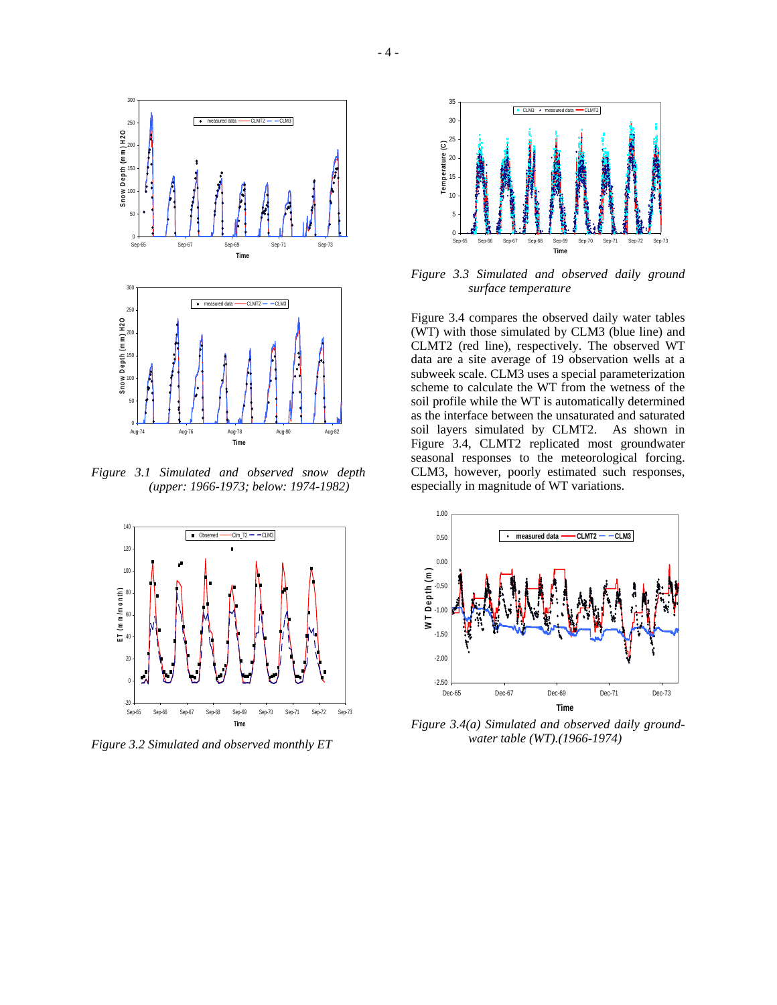

*Figure 3.1 Simulated and observed snow depth (upper: 1966-1973; below: 1974-1982)*



*Figure 3.2 Simulated and observed monthly ET* 



*Figure 3.3 Simulated and observed daily ground surface temperature* 

Figure 3.4 compares the observed daily water tables (WT) with those simulated by CLM3 (blue line) and CLMT2 (red line), respectively. The observed WT data are a site average of 19 observation wells at a subweek scale. CLM3 uses a special parameterization scheme to calculate the WT from the wetness of the soil profile while the WT is automatically determined as the interface between the unsaturated and saturated soil layers simulated by CLMT2. As shown in Figure 3.4, CLMT2 replicated most groundwater seasonal responses to the meteorological forcing. CLM3, however, poorly estimated such responses, especially in magnitude of WT variations.



*Figure 3.4(a) Simulated and observed daily groundwater table (WT).(1966-1974)*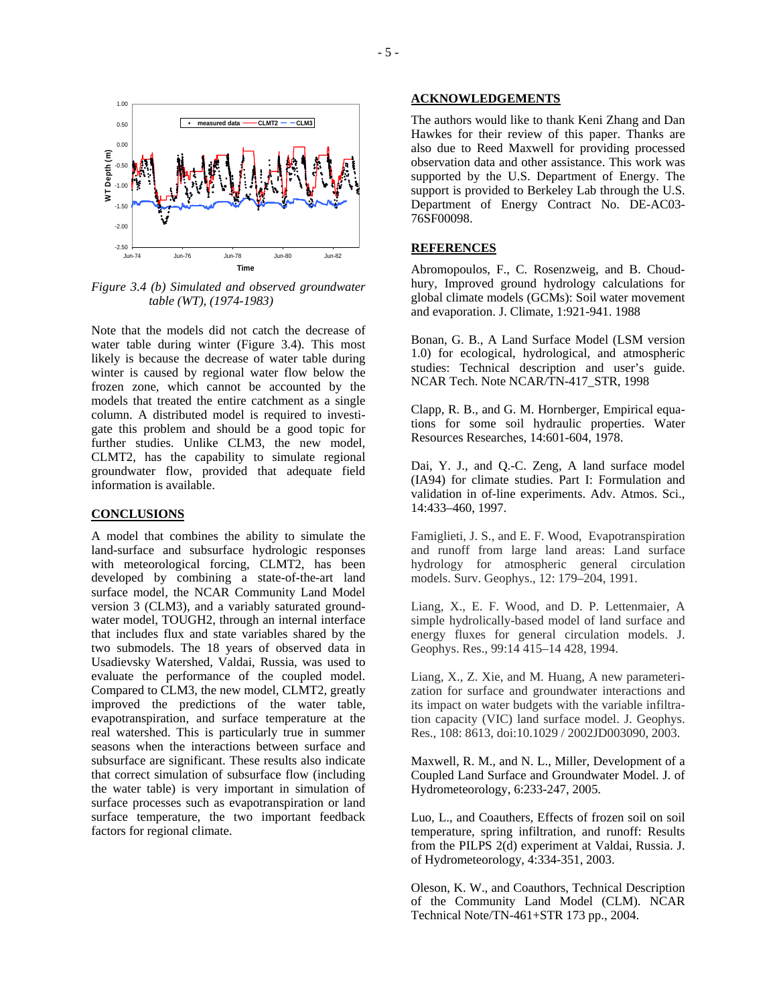

*Figure 3.4 (b) Simulated and observed groundwater table (WT), (1974-1983)*

Note that the models did not catch the decrease of water table during winter (Figure 3.4). This most likely is because the decrease of water table during winter is caused by regional water flow below the frozen zone, which cannot be accounted by the models that treated the entire catchment as a single column. A distributed model is required to investigate this problem and should be a good topic for further studies. Unlike CLM3, the new model, CLMT2, has the capability to simulate regional groundwater flow, provided that adequate field information is available.

#### **CONCLUSIONS**

A model that combines the ability to simulate the land-surface and subsurface hydrologic responses with meteorological forcing, CLMT2, has been developed by combining a state-of-the-art land surface model, the NCAR Community Land Model version 3 (CLM3), and a variably saturated groundwater model, TOUGH2, through an internal interface that includes flux and state variables shared by the two submodels. The 18 years of observed data in Usadievsky Watershed, Valdai, Russia, was used to evaluate the performance of the coupled model. Compared to CLM3, the new model, CLMT2, greatly improved the predictions of the water table, evapotranspiration, and surface temperature at the real watershed. This is particularly true in summer seasons when the interactions between surface and subsurface are significant. These results also indicate that correct simulation of subsurface flow (including the water table) is very important in simulation of surface processes such as evapotranspiration or land surface temperature, the two important feedback factors for regional climate.

#### **ACKNOWLEDGEMENTS**

The authors would like to thank Keni Zhang and Dan Hawkes for their review of this paper. Thanks are also due to Reed Maxwell for providing processed observation data and other assistance. This work was supported by the U.S. Department of Energy. The support is provided to Berkeley Lab through the U.S. Department of Energy Contract No. DE-AC03- 76SF00098.

### **REFERENCES**

Abromopoulos, F., C. Rosenzweig, and B. Choudhury, Improved ground hydrology calculations for global climate models (GCMs): Soil water movement and evaporation. J. Climate, 1:921-941. 1988

Bonan, G. B., A Land Surface Model (LSM version 1.0) for ecological, hydrological, and atmospheric studies: Technical description and user's guide. NCAR Tech. Note NCAR/TN-417\_STR, 1998

Clapp, R. B., and G. M. Hornberger, Empirical equations for some soil hydraulic properties. Water Resources Researches, 14:601-604, 1978.

Dai, Y. J., and Q.-C. Zeng, A land surface model (IA94) for climate studies. Part I: Formulation and validation in of-line experiments. Adv. Atmos. Sci., 14:433–460, 1997.

Famiglieti, J. S., and E. F. Wood, Evapotranspiration and runoff from large land areas: Land surface hydrology for atmospheric general circulation models. Surv. Geophys., 12: 179–204, 1991.

Liang, X., E. F. Wood, and D. P. Lettenmaier, A simple hydrolically-based model of land surface and energy fluxes for general circulation models. J. Geophys. Res., 99:14 415–14 428, 1994.

Liang, X., Z. Xie, and M. Huang, A new parameterization for surface and groundwater interactions and its impact on water budgets with the variable infiltration capacity (VIC) land surface model. J. Geophys. Res., 108: 8613, doi:10.1029 / 2002JD003090, 2003.

Maxwell, R. M., and N. L., Miller, Development of a Coupled Land Surface and Groundwater Model. J. of Hydrometeorology, 6:233-247, 2005.

Luo, L., and Coauthers, Effects of frozen soil on soil temperature, spring infiltration, and runoff: Results from the PILPS 2(d) experiment at Valdai, Russia. J. of Hydrometeorology, 4:334-351, 2003.

Oleson, K. W., and Coauthors, Technical Description of the Community Land Model (CLM). NCAR Technical Note/TN-461+STR 173 pp., 2004.